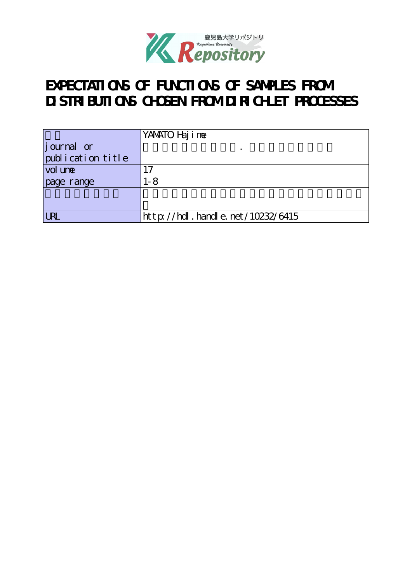

# **EXPECTATIONS OF FUNCTIONS OF SAMPLES FROM DISTRIBUTIONS CHOSEN FROM DIRICHLET PROCESSES**

|                                | YANATO Haj i ne                  |
|--------------------------------|----------------------------------|
| journal or                     |                                  |
| $\mathrm{publ}$ i cation title |                                  |
| vol une                        | . 7                              |
| page range                     | 1-8                              |
|                                |                                  |
|                                |                                  |
| <b>IRI</b>                     | http://hdl.handle.net/10232/6415 |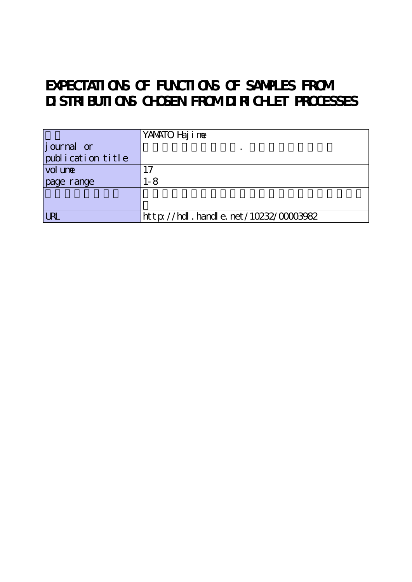# **EXPECTATIONS OF FUNCTIONS OF SAMPLES FROM DISTRIBUTIONS CHOSEN FROM DIRICHLET PROCESSES**

|                                 | YANATO Haj i ne                      |
|---------------------------------|--------------------------------------|
|                                 |                                      |
| journal or<br>publication title |                                      |
| vol une                         | 7                                    |
| page range                      | $1 - 8$                              |
|                                 |                                      |
|                                 |                                      |
| <b>IRI</b>                      | http://hdl.handle.net/10232/00003982 |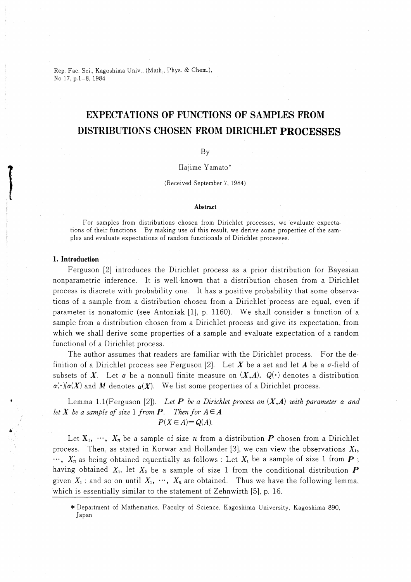Rep. Fac. Sci., Kagoshima Univ., (Math., Phys. & Chem. No 17, p.1-8, 1984

## EXPECTATIONS OF FUNCTIONS OF SAMPLES FROM DISTRIBUTIONS CHOSEN FROM DIRICHLET PROCESSES

### By

#### Hajime Yamato

#### (Received September 7, 1984)

#### Abstract

For samples from distributions chosen from Dirichlet processes, we evaluate expectations of their functions. By making use of this result, we derive some properties of the sampies and evaluate expectations of random functionals of Dirichlet processes.

#### 1. Introduction

Ferguson [21 introduces the Dirichlet process as a prior distribution for Bayesian nonparametric inference. It is well-known that a distribution chosen from a Dirichlet process is discrete with probability one. It has a positive probability that some observations of a sample from a distribution chosen from a Dirichlet process are equal, even if parameter is nonatomic (see Antoniak [1], p. 1160). We shall consider a function of a sample from a distribution chosen from a Dirichlet process and give its expectation, from which we shall derive some properties of a sample and evaluate expectation of a random functional of a Dirichlet process.

The author assumes that readers are familiar with the Dirichlet process. For the definition of a Dirichlet process see Ferguson [2]. Let X be a set and let A be a  $\sigma$ -field of subsets of X. Let  $\alpha$  be a nonnull finite measure on  $(X,A)$ .  $Q(\cdot)$  denotes a distribution  $\alpha(\cdot)/\alpha(X)$  and M denotes  $\alpha(X)$ . We list some properties of a Dirichlet process.

Lemma 1.1(Ferguson [2]). Let **P** be a Dirichlet process on  $(X,A)$  with parameter  $\alpha$  and let X be a sample of size 1 from  $P$ . Then for  $A \in A$  $P(X \in A) = Q(A)$ .

Let  $X_1, \dots, X_n$  be a sample of size n from a distribution P chosen from a Dirichlet process. Then, as stated in Korwar and Hollander [3], we can view the observations  $X_1$ ,  $\cdots$ ,  $X_n$  as being obtained equentially as follows : Let  $X_1$  be a sample of size 1 from  $\boldsymbol{P}$ ; having obtained  $X_1$ , let  $X_2$  be a sample of size 1 from the conditional distribution  $P$ given  $X_1$ ; and so on until  $X_1, \dots, X_n$  are obtained. Thus we have the following lemma, which is essentially similar to the statement of Zehnwirth [5], p. 16.

<sup>\*</sup> Department of Mathematics, Faculty of Science, Kagoshima University, Kagoshima 890, Japan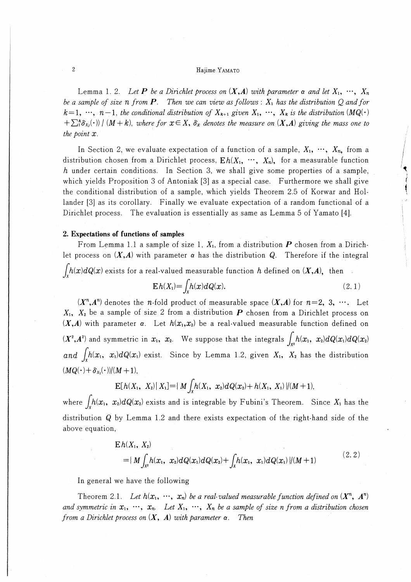#### Hajime YAMATO

Lemma 1. 2. Let **P** be a Dirichlet process on  $(X,A)$  with parameter  $\alpha$  and let  $X_1, \dots, X_n$ be a sample of size n from **P**. Then we can view as follows :  $X_1$  has the distribution Q and for  $k=1, \dots, n-1$ , the conditional distribution of  $X_{k+1}$  given  $X_1, \dots, X_k$  is the distribution  $(MQ(\cdot))$  $+\sum_{i=1}^{k} \delta_{x_i}(\cdot)$  | (M + k), where for  $x \in X$ ,  $\delta_x$  denotes the measure on  $(X,A)$  giving the mass one to the point  $x$ .

In Section 2, we evaluate expectation of a function of a sample,  $X_1, \dots, X_n$ , from a distribution chosen from a Dirichlet process,  $Eh(X_1, \cdots, X_n)$ , for a measurable function  $h$  under certain conditions. In Section 3, we shall give some properties of a sample, which yields Proposition 3 0f Antoniak [3] as a special case. Furthermore we shall give the conditional distribution of a sample, which yields Theorem 2.5 0f Korwar and Hoilander [3] as its corollary. Finally we evaluate expectation of a random functional of a Dirichlet process. The evaluation is essentially as same as Lemma 5 of Yamato [4].

#### 2. Expectations of functions of samples

From Lemma 1.1 a sample of size 1,  $X_1$ , from a distribution  $P$  chosen from a Dirichlet process on  $(X,A)$  with parameter  $\alpha$  has the distribution Q. Therefore if the integral  $\int h(x)dQ(x)$  exists for a real-valued measurable function h defined on  $(X,A)$ , then

$$
\mathbf{E}h(X_1) = \int_X h(x)dQ(x). \tag{2.1}
$$

・ f.Tr1-.-∫

 $(X^n, A^n)$  denotes the *n*-fold product of measurable space  $(X, A)$  for  $n=2, 3, \dots$ . Let  $X_1$ ,  $X_2$  be a sample of size 2 from a distribution  $P$  chosen from a Dirichlet process on  $(X,A)$  with parameter  $\alpha$ . Let  $h(x_1,x_2)$  be a real-valued measurable function defined on  $(X^2,A^2)$  and symmetric in  $x_1,$   $x_2$ . We suppose that the integrals  $\int_{X^2}h(x_1,\,\,x_2)dQ(x_1)dQ(x_2)$  $a_n$ and  $\int_{x} h(x_1, x_1) dQ(x_1)$  exist. Since by Lemma 1.2, given  $X_1$ ,  $X_2$  has the distribution  $(MQ(\cdot)+\delta_{x_1}(\cdot))/(M+1),$ 

$$
\mathbf{E}[h(X_1, X_2) | X_1] = \{ M \int_X h(X_1, x_2) dQ(x_2) + h(X_1, X_1) \} / (M+1),
$$

where **b** where  $\int_X h(x_1,\ x_2) dQ(x_2)$  exists and is integrable by Fubini's Theorem. Since  $X_1$  has the distribution Q by Lemma 1.2 and there exists expectation of the right-hand side of the above equation,

$$
E h(X_1, X_2)
$$
  
= {  $M \int_{X^2} h(x_1, x_2) dQ(x_1) dQ(x_2) + \int_X h(x_1, x_1) dQ(x_1) / (M+1)$  (2.2)

In general we have the following

Theorem 2.1. Let  $h(x_1, \dots, x_n)$  be a real-valued measurable function defined on  $(X^n, A^n)$ and symmetric in  $x_1, \dots, x_n$ . Let  $X_1, \dots, X_n$  be a sample of size n from a distribution chosen from a Dirichlet process on  $(X, A)$  with parameter  $\alpha$ . Then

 $\overline{c}$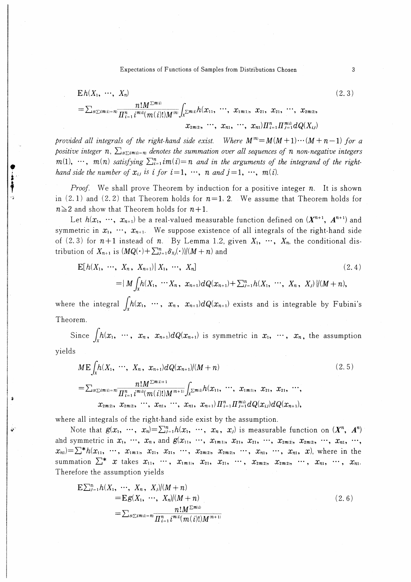Expectations of Functions of Samples from Distributions Chosen

$$
E h(X_1, \cdots, X_n)
$$
\n
$$
= \sum_{s \ge i m(i) = n} \frac{n! M^{\sum m(i)}}{\prod_{i=1}^n i^{m(i)} (m(i)!) M^{(n)}} \int_{x^{\sum m(i)}} h(x_{11}, \cdots, x_{1m(1)}, x_{21}, x_{21}, \cdots, x_{2m(2)}, x_{21}, \cdots, x_{2m(2)}, x_{21m(2)}, \cdots, x_{n1m(2)}, x_{21m(2)}, \cdots, x_{n1m(mn)}) \prod_{i=1}^n \prod_{j=1}^{m(i)} dQ(X_{ij})
$$
\n
$$
(2.3)
$$

provided all integrals of the right-hand side exist. Where  $M^{(n)} = M(M+1)\cdots(M+n-1)$  for a positive integer n,  $\sum_{s \in \mathcal{S}^m}$  denotes the summation over all sequences of n non-negative integers  $m(1), \cdots, m(n)$  satisfying  $\sum_{i=1}^{n} i m(i) = n$  and in the arguments of the integrand of the righthand side the number of  $x_{ij}$  is i for  $i=1, \dots, n$  and  $j=1, \dots, m(i)$ .

*Proof.* We shall prove Theorem by induction for a positive integer  $n$ . It is shown in  $(2, 1)$  and  $(2, 2)$  that Theorem holds for  $n=1, 2$ . We assume that Theorem holds for  $n \geq 2$  and show that Theorem holds for  $n+1$ .

Let  $h(x_1, \dots, x_{n+1})$  be a real-valued measurable function defined on  $(X^{n+1}, A^{n+1})$  and symmetric in  $x_1, \dots, x_{n+1}$ . We suppose existence of all integrals of the right-hand side of (2.3) for  $n+1$  instead of n. By Lemma 1.2, given  $X_1$ , ...,  $X_n$ , the conditional distribution of  $X_{n+1}$  is  $(MQ(\cdot) + \sum_{j=1}^n \delta_{x_j}(\cdot))/(M+n)$  and

$$
E[h(X_1, \cdots, X_n, X_{n+1})| X_1, \cdots, X_n]
$$
\n
$$
= \{ M \int_X h(X_1, \cdots X_n, x_{n+1}) dQ(x_{n+1}) + \sum_{j=1}^n h(X_1, \cdots, X_n, X_j) \} | (M+n),
$$
\n(2.4)

where the integral  $\int_x h(x_1, \cdots, x_n, x_{n+1}) dQ(x_{n+1})$  exists and is integrable by Fubini's Theorem.

Since  $\int_{x} h(x_1, \cdots, x_n, x_{n+1}) dQ(x_{n+1})$  is symmetric in  $x_1, \cdots, x_n$ , the assumption

$$
M \mathbf{E} \int_{X} h(X_1, \cdots, X_n, x_{n+1}) dQ(x_{n+1})/(M+n)
$$
\n
$$
= \sum_{S \subseteq im(i)=n} \frac{n! M^{\sum m(i)+1}}{\prod_{i=1}^n i^{m(i)} (m(i)!) M^{(n+1)}} \int_{X} \sum_{m(i)} h(x_1, \cdots, x_{1m(1)}, x_2, x_1, \cdots, x_{2m(2)}, \cdots, x_{2m(2)}, x_{2m(2)}, \cdots, x_n, \cdots, x_n, x_{n+1}) \prod_{i=1}^n \prod_{j=1}^{m(i)} dQ(x_{ij}) dQ(x_{n+1}),
$$
\n(2.5)

where all integrals of the right-hand side exist by the assumption.

Note that  $g(x_1, \cdots, x_n) = \sum_{j=1}^n h(x_1, \cdots, x_n, x_j)$  is measurable function on  $(X^n, A^n)$ and symmetric in  $x_1, ..., x_n$ , and  $g(x_{11}, ..., x_{1m(1)}, x_{21}, x_{21}, ..., x_{2m(2)}, x_{2m(2)}, ..., x_{n1}, ...,$  $x_{n}=\sum^{*}h(x_{11}, x_{12}, \ldots, x_{1m(1)}, x_{21}, x_{21}, \ldots, x_{2m(2)}, x_{2m(2)}, \ldots, x_{n1}, x_{n1}, x)$ , where in the summation  $\sum^* x$  takes  $x_{11}, \dots, x_{1m(1)}, x_{21}, x_{21}, \dots, x_{2m(2)}, x_{2m(2)}, \dots, x_{n1}, \dots, x_{n1}$ Therefore the assumption yields

$$
E\sum_{j=1}^{n} h(X_1, \cdots, X_n, X_j)/(M+n)
$$
  
= 
$$
E g(X_1, \cdots, X_n)/(M+n)
$$
  
= 
$$
\sum_{s(\sum i m(i)=n)} \frac{n! M^{\sum m(i)}}{\prod_{i=1}^{n} i^{m(i)} (m(i)!) M^{(n+1)}}
$$
 (2.6)

 $\mathbf{3}$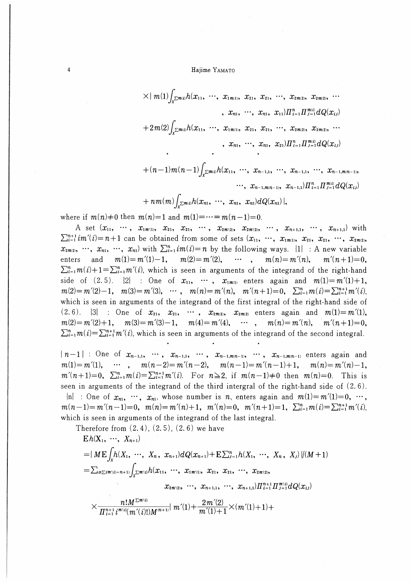#### Hajime YAMATO

$$
\times \{m(1)\n\begin{pmatrix}\n x_{2m(i)}h(x_{11},\ldots,x_{1m(1)},x_{21},x_{21},\ldots,x_{2m(2)},x_{2m(2)},\ldots \\
x_{n1},\ldots,x_{n1},x_{11})\n\end{pmatrix}\n\begin{pmatrix}\n x_{2m(2)},x_{2m(2)},\ldots \\
x_{2m(2)}\n\end{pmatrix}
$$
\n
$$
+ 2m(2)\n\begin{pmatrix}\n x_{2m(i)}h(x_{11},\ldots,x_{1m(1)},x_{21},x_{21},\ldots,x_{2m(2)},x_{2m(2)},\ldots \\
x_{n1},\ldots,x_{n1},x_{21})\n\end{pmatrix}
$$

$$
+(n-1)m(n-1)\int_{X^{\sum m(i)}}h(x_{11},\,\,\cdots,\,\,x_{n-1,1},\,\,\cdots,\,\,x_{n-1,1},\,\,\cdots,\,\,x_{n-1,m(n-1)},\\ ~~\cdots,\,\,x_{n-1,m(n-1)},\,\,x_{n-1,1})\prod_{i=1}^{n} \prod_{j=1}^{m(i)}dQ(x_{ij})
$$

$$
+ n m(m) \int_{x^{\sum m(i)}} h(x_{n1},\ \cdots,\ x_{n1},\ x_{n1}) dQ(x_{n1}) \,|,
$$

where if  $m(n) \neq 0$  then  $m(n)=1$  and  $m(1)=\cdots=m(n-1)=0$ .

 $\overline{4}$ 

A set  $(x_{11}, \cdots, x_{1m(1)}, x_{21}, x_{21}, \cdots, x_{2m(2)}, x_{2m(2)}, \cdots, x_{n+1,1}, \cdots, x_{n+1,1})$  with  $\sum_{i=1}^{n+1} im'(i) = n+1$  can be obtained from some of sets  $(x_{11}, \dots, x_{1m(1)}, x_{21}, x_{21}, \dots, x_{2m(2)},$  $x_{2m(2)}, \dots, x_{n1}, \dots, x_{n1}$  with  $\sum_{i=1}^{n} i m(i) = n$  by the following ways.  $\{1\}$ : A new variable  $\cdots$ , enters and  $m(1) = m'(1) - 1$ ,  $m(2)=m'(2)$ ,  $m(n)=m'(n),$  $m'(n+1)=0,$  $\sum_{i=1}^n m(i) + 1 = \sum_{i=1}^n m'(i)$ , which is seen in arguments of the integrand of the right-hand side of  $(2.5)$ .  $\{2\}$ : One of  $x_{11}$ ,  $\cdots$ ,  $x_{1m(1)}$  enters again and  $m(1) = m'(1) + 1$ ,  $m(2) = m'(2)-1$ ,  $m(3) = m'(3)$ ,  $\cdots$ ,  $m(n) = m'(n)$ ,  $m'(n+1)=0$ ,  $\sum_{i=1}^{n} m(i) = \sum_{i=1}^{n+1} m'(i)$ which is seen in arguments of the integrand of the first integral of the right-hand side of  $(2.6)$ .  $|3|$  : One of  $x_{21}$ ,  $x_{21}$ ,  $\cdots$ ,  $x_{2m(2)}$ ,  $x_{2m(2)}$  enters again and  $m(1) = m'(1)$ ,  $m(2) = m'(2) + 1$ ,  $m(3) = m'(3) - 1$ ,  $m(4) = m'(4)$ ,  $\cdots$ ,  $m(n) = m'(n)$ ,  $m'(n+1) = 0$ ,  $\sum_{i=1}^{n} m(i) = \sum_{i=1}^{n+1} m'(i)$ , which is seen in arguments of the integrand of the second integral.

 ${n-1}$ : One of  $x_{n-1,1}$ , ...,  $x_{n-1,1}$ , ...,  $x_{n-1,m(n-1)}$ , ...,  $x_{n-1,m(n-1)}$  enters again and  $\cdots$ ,  $m(n-2)=m'(n-2)$ ,  $m(n-1)=m'(n-1)+1$ ,  $m(n)=m'(n)-1$ ,  $m(1) = m'(1)$ ,  $m'(n+1)=0$ ,  $\sum_{i=1}^n m(i) = \sum_{i=1}^{n+1} m'(i)$ . For  $n \ge 2$ , if  $m(n-1) \ne 0$  then  $m(n)=0$ . This is seen in arguments of the integrand of the third intergral of the right-hand side of  $(2.6)$ .  $\{n\}$ : One of  $x_{n1}$ ,  $\cdots$ ,  $x_{n1}$ , whose number is *n*, enters again and  $m(1) = m'(1) = 0$ ,  $\cdots$ ,  $m(n-1)=m'(n-1)=0$ ,  $m(n)=m'(n)+1$ ,  $m'(n)=0$ ,  $m'(n+1)=1$ ,  $\sum_{i=1}^{n}m(i)=\sum_{i=1}^{n+1}m'(i)$ , which is seen in arguments of the integrand of the last integral.

Therefore from  $(2.4)$ ,  $(2.5)$ ,  $(2.6)$  we have

 $Eh(X_1, \cdots, X_{n+1})$ =  $\{M \to \int_{0}^{t} h(X_1, \cdots, X_n, x_{n+1}) dQ(x_{n+1}) + \sum_{j=1}^{n} h(X_1, \cdots, X_n, X_j) \} (M+1)$  $=\sum_{s\in \Sigma^{i\bar{m}}(i)=n+1)}\int_{\Sigma^{\bar{m}}(i)}h(x_{11},\cdots,x_{1\bar{m}'(1)},x_{21},x_{21},\cdots,x_{2\bar{m}'(2)},$  $x_{2m'(2)}, \dots, x_{n+1,1}, \dots, x_{n+1,1} \}$   $\prod_{i=1}^{n+1} \prod_{j=1}^{m'(i)} dQ(x_{ij})$  $\times \frac{n! M^{\sum m(i)} }{ \prod^{n+1} i^{m(i)} (m'(i)) M^{(n+1)}} m'(1) + \frac{2m'(2)}{m'(1)+1} \times (m'(1)+1) +$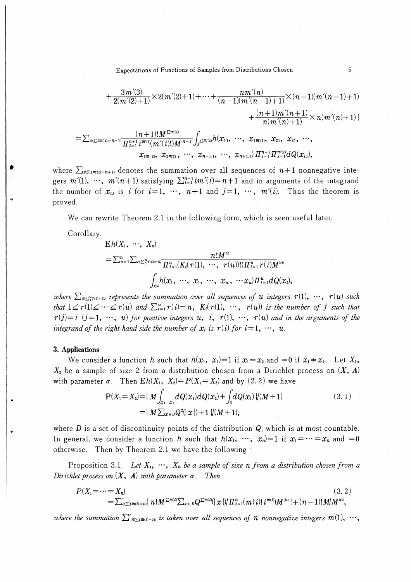Expectations of Functions of Samples from Distributions Chosen

$$
+\frac{3m'(3)}{2(m'(2)+1)} \times 2(m'(2)+1) + \cdots + \frac{n m'(n)}{(n-1)(m'(n-1)+1)} \times (n-1)(m'(n-1)+1) +\frac{(n+1)m'(n+1)}{n(m'(n)+1)} \times n(m'(n)+1) \}
$$

$$
=\sum_{s\subseteq i m'(i)=n+1} \frac{(n+1)! M^{\sum m'(i)}}{\prod_{i=1}^{n+1} i^{m'(i)}(m'(i)! M^{(n+1)}} \int_{X^{\sum m'(i)}} h(x_1, \dots, x_{1m'(1)}, x_{21}, x_{21}, \dots, x_{n+1}) \prod_{i=1}^{n+1} \prod_{j=1}^{m'(i)} dQ(x_{ij}),
$$

where  $\sum_{s\sum i m(i)=n+1}$  denotes the summation over all sequences of  $n+1$  nonnegative integers  $m'(1)$ ,  $\cdots$ ,  $m'(n+1)$  satisfying  $\sum_{i=1}^{n+1} i m'(i) = n+1$  and in arguments of the integrand the number of  $x_{ij}$  is i for  $i=1, \dots, n+1$  and  $j=1, \dots, m'(i)$ . Thus the theorem is proved.

We can rewrite Theorem 2.1 in the following form, which is seen useful later.

Corollary.

$$
E h(X_1, \cdots, X_n)
$$
\n
$$
= \sum_{u=1}^n \sum_{s \in \mathbb{Z}_1^u} r(t) = n \frac{n! M^u}{\prod_{i=1}^n (K_i(\tau(1), \cdots, \tau(u))) \prod_{i=1}^u \tau(i) M^{(n)}} \int_{X^u} h(x_1, \cdots, x_1, \cdots, x_u, \cdots x_u) \prod_{i=1}^u dQ(x_i)
$$

where  $\sum_{s\sum_{i=1}^{n}n(i)=n}$  represents the summation over all sequences of u integers  $r(1), \dots, r(u)$  such that  $1 \le r(1) \le \cdots \le r(u)$  and  $\sum_{i=1}^{u} r(i) = n$ ,  $K_i(r(1), \cdots, r(u))$  is the number of j such that  $r(j)=i$   $(j=1, \cdots, u)$  for positive integers u, i,  $r(1), \cdots, r(u)$  and in the arguments of the integrand of the right-hand side the number of  $x_i$  is  $r(i)$  for  $i=1, \dots, u$ .

#### 3. Applications

We consider a function h such that  $h(x_1, x_2)=1$  if  $x_1=x_2$  and  $=0$  if  $x_1 \neq x_2$ . Let  $X_1$ ,  $X_2$  be a sample of size 2 from a distribution chosen from a Dirichlet process on  $(X, A)$ with parameter  $\alpha$ . Then  $Eh(X_1, X_2) = P(X_1 = X_2)$  and by (2.2) we have

$$
P(X_1 = X_2) = \{ M \int_{x_1 = x_2} dQ(x_1) dQ(x_2) + \int_X dQ(x_1) \} / (M+1)
$$
  
= 
$$
\{ M \sum_{x \in D} Q^2(\{ x \}) + 1 \} / (M+1),
$$
 (3.1)

where D is a set of discontinuity points of the distribution  $Q$ , which is at most countable. In general, we consider a function h such that  $h(x_1, \dots, x_n)=1$  if  $x_1=\dots =x_n$  and  $=0$ otherwise. Then by Theorem 2.1 we have the following

Proposition 3.1. Let  $X_1, \dots, X_n$  be a sample of size n from a distribution chosen from a Dirichlet process on  $(X, A)$  with parameter  $\alpha$ . Then

$$
P(X_1 = \cdots = X_n)
$$
\n
$$
= \sum_{s \leq i m(i) = n} \{ n! M^{\sum m(i)} \sum_{x \in D} Q^{\sum m(i)}(|x|) / \prod_{i=1}^n (m(i)! i^{m(i)}) M^{(n)} \} + (n-1)! M / M^{(n)},
$$
\n(3.2)

where the summation  $\sum_{s\sum i m(i)=n}^{\infty}$  is taken over all sequences of n nonnegative integers  $m(1), \dots$ ,

 $\sqrt{5}$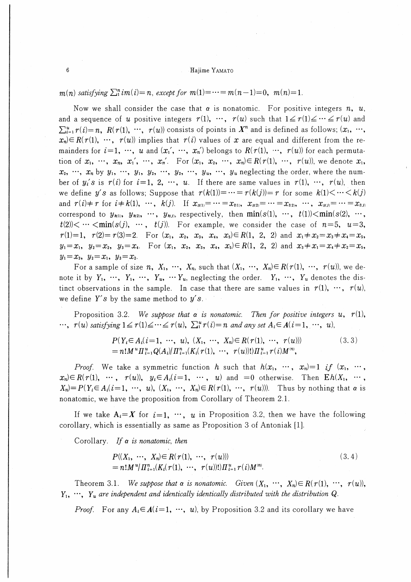$m(n)$  satisfying  $\sum_{i=1}^{n} i m(i) = n$ , except for  $m(1) = \cdots = m(n-1) = 0$ ,  $m(n) = 1$ .

Now we shall consider the case that  $\alpha$  is nonatomic. For positive integers  $n, u$ , and a sequence of u positive integers  $r(1)$ ,  $\cdots$ ,  $r(u)$  such that  $1 \le r(1) \le \cdots \le r(u)$  and  $\sum_{i=1}^{u} r(i) = n$ ,  $R(r(1), \dots, r(u))$  consists of points in  $X^n$  and is defined as follows;  $(x_1, \dots, x_n)$  $x_n \in R(r(1), \dots, r(u))$  implies that  $r(i)$  values of x are equal and different from the remainders for  $i=1, \dots, u$  and  $(x_1', \dots, x_n')$  belongs to  $R(r(1), \dots, r(u))$  for each permutation of  $x_1, \dots, x_n, x_1', \dots, x_n'$ . For  $(x_1, x_2, \dots, x_n) \in R(r(1), \dots, r(u))$ , we denote  $x_1$ ,  $x_2, \dots, x_n$  by  $y_1, \dots, y_1, y_2, \dots, y_2, \dots, y_u, \dots, y_u$  neglecting the order, where the number of  $y_i$ 's is  $r(i)$  for  $i=1, 2, \dots, u$ . If there are same values in  $r(1), \dots, r(u)$ , then we define y's as follows; Suppose that  $r(k(1)) = \cdots = r(k(j)) = r$  for some  $k(1) < \cdots < k(j)$ and  $r(i) \neq r$  for  $i \neq k(1)$ ,  $\cdots$ ,  $k(j)$ . If  $x_{s(1)} = \cdots = x_{t(1)}$ ,  $x_{s(2)} = \cdots = x_{t(2)}$ ,  $\cdots$ ,  $x_{s(j)} = \cdots = x_{t(j)}$ correspond to  $y_{\kappa_1}$ ,  $y_{\kappa_2}$ ,  $\cdots$ ,  $y_{\kappa_j}$ , respectively, then  $\min(s(1), \cdots, t(1)) < \min(s(2), \cdots,$  $t(2) < \cdots < \min(s(j), \cdots, t(j))$ . For example, we consider the case of  $n=5$ ,  $u=3$ ,  $r(1)=1$ ,  $r(2)=r(3)=2$ . For  $(x_1, x_2, x_3, x_4, x_5) \in R(1, 2, 2)$  and  $x_1 \neq x_2 = x_3 \neq x_4 = x_5$ ,  $y_1 = x_1$ ,  $y_2 = x_2$ ,  $y_3 = x_4$ . For  $(x_1, x_2, x_3, x_4, x_5) \in R(1, 2, 2)$  and  $x_3 \neq x_1 = x_4 \neq x_2 = x_5$ ,  $y_1 = x_3, y_2 = x_1, y_3 = x_2.$ 

For a sample of size n,  $X_1, \dots, X_n$ , such that  $(X_1, \dots, X_n) \in R(r(1), \dots, r(u))$ , we denote it by  $Y_1, \dots, Y_1, \dots, Y_u, \dots Y_u$ , neglecting the order.  $Y_1, \dots, Y_u$  denotes the distinct observations in the sample. In case that there are same values in  $r(1)$ ,  $\cdots$ ,  $r(u)$ , we define Y's by the same method to  $y's$ .

Proposition 3.2. We suppose that  $\alpha$  is nonatomic. Then for positive integers u,  $r(1)$ ,  $\cdots$ ,  $r(u)$  satisfying  $1 \le r(1) \le \cdots \le r(u)$ ,  $\sum_{i=1}^{u} r(i) = n$  and any set  $A_i \in A(i = 1, \dots, u)$ ,

$$
P(Y_i \in A_i (i=1, \cdots, u), (X_1, \cdots, X_n) \in R(r(1), \cdots, r(u)))
$$
  
=  $n! M^u \Pi_{i=1}^u Q(A_i) / \Pi_{i=1}^n (K_i (r(1), \cdots, r(u))! ) \Pi_{i=1}^u r(i) M^{(n)},$  (3.3)

*Proof.* We take a symmetric function h such that  $h(x_1, \cdots, x_n)=1$  if  $(x_1, \cdots, x_n)$  $x_n \in R(r(1), \cdots, r(u)),$   $y_i \in A_i (i=1, \cdots, u)$  and  $=0$  otherwise. Then  $Eh(X_1, \cdots,$  $X_n$ =  $P(Y_i \in A_i (i=1, \dots, u), (X_1, \dots, X_n) \in R(r(1), \dots, r(u))$ . Thus by nothing that  $\alpha$  is nonatomic, we have the proposition from Corollary of Theorem 2.1.

If we take  $A_i = X$  for  $i = 1, \dots, u$  in Proposition 3.2, then we have the following corollary, which is essentially as same as Proposition 3 of Antoniak [1].

Corollary. If  $\alpha$  is nonatomic, then

$$
P((X_1, \cdots, X_n) \in R(r(1), \cdots, r(u)))
$$
  
=  $n! M^{u} / \prod_{i=1}^n (K_i(r(1), \cdots, r(u))!) \prod_{i=1}^u r(i) M^{(n)}$ . (3.4)

Theorem 3.1. We suppose that  $\alpha$  is nonatomic. Given  $(X_1, \dots, X_n) \in R(r(1), \dots, r(u))$ ,  $Y_1, \dots, Y_u$  are independent and identically identically distributed with the distribution Q.

*Proof.* For any  $A_i \in A(i=1, \dots, u)$ , by Proposition 3.2 and its corollary we have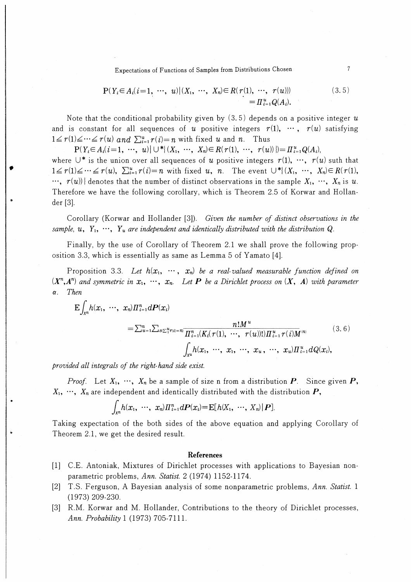Expectations of Functions of Samples from Distributions Chosen

$$
P(Y_i \in A_i (i=1, \cdots, u) | (X_1, \cdots, X_n) \in R(r(1), \cdots, r(u)))
$$
  
=  $\Pi_{i=1}^u Q(A_i)$ . (3.5)

Note that the conditional probability given by  $(3.5)$  depends on a positive integer u and is constant for all sequences of u positive integers  $r(1)$ ,  $\cdots$ ,  $r(u)$  satisfying  $1 \leq r(1) \leq \cdots \leq r(u)$  and  $\sum_{i=1}^{u} r(i) = n$  with fixed u and n. Thus

 $P(Y_i \in A_i (i=1, \cdots, u) \cup \{X_1, \cdots, X_n\} \in R(\tau(1), \cdots, \tau(u))\}) = \prod_{i=1}^u Q(A_i),$ where  $\cup^*$  is the union over all sequences of u positive integers  $r(1), \dots, r(u)$  suth that  $1 \leq r(1) \leq \cdots \leq r(u)$ ,  $\sum_{i=1}^{u} r(i) = n$  with fixed u, n. The event  $\bigcup^* (X_1, \cdots, X_n) \in R(r(1),$  $r(x, r(u))$  denotes that the number of distinct observations in the sample  $X_1, \dots, X_n$  is u. Therefore we have the following corollary, which is Theorem 2.5 0f Korwar and Hollander [3].

Corollary (Korwar and Hollander [3]). Given the number of distinct observations in the sample,  $u, Y_1, \cdots, Y_u$  are independent and identically distributed with the distribution Q.

Finally, by the use of Corollary of Theorem 2.1 we shall prove the following proposition 3.3, which is essentially as same as Lemma 5 of Yamato [4】.

Proposition 3.3. Let  $h(x_1, \cdots, x_n)$  be a real-valued measurable function defined on  $(X<sup>n</sup>, A<sup>n</sup>)$  and symmetric in  $x_1, \cdots, x_n$ . Let **P** be a Dirichlet process on  $(X, A)$  with parameter a. Then

$$
E\int_{X^n} h(x_1, \cdots, x_n) \Pi_{i=1}^n dP(x_i)
$$
  
=  $\sum_{u=1}^n \sum_{s \in \sum_{i=1}^n r(i)=n} \frac{n! M^u}{\prod_{i=1}^n (K_i(\tau(1), \cdots, \tau(u))) \Pi_{i=1}^u \tau(i) M^{(n)}}$  (3.6)  
 $\int_{X^u} h(x_1, \cdots, x_1, \cdots, x_u, \cdots, x_u) \Pi_{i=1}^u dQ(x_i),$ 

provided all integrals of the right- hand side exist.

*Proof.* Let  $X_1, \dots, X_n$  be a sample of size n from a distribution **P**. Since given **P**,  $X_1, \dots, X_n$  are independent and identically distributed with the distribution  $P$ ,

$$
\int_{X^n} h(x_1, \cdots, x_n) \prod_{i=1}^n dP(x_i) = \mathbb{E}[h(X_1, \cdots, X_n) | P].
$$

Taking expectation of the both sides of the above equation and applying Corollary of Theorem 2.1, we get the desired result.

#### **References**

- [1] C.E. Antoniak, Mixtures of Dirichlet processes with applications to Bayesian nonparametric problems, Ann. Statist. 2 (1974) 1152-1174.
- [2] T.S. Ferguson, A Bayesian analysis of some nonparametric problems, Ann. Statist. 1 (1973) 209-230.
- [3] R.M. Korwar and M. Hollander, Contributions to the theory of Dirichlet processes, Ann. Probability 1 (1973) 705-7111.

 $\overline{7}$